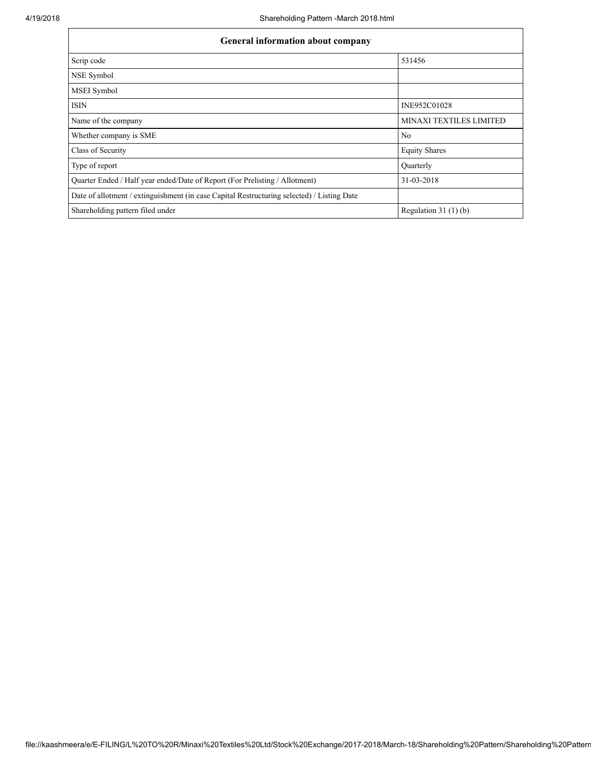| <b>General information about company</b>                                                   |                         |  |  |  |  |  |  |
|--------------------------------------------------------------------------------------------|-------------------------|--|--|--|--|--|--|
| Scrip code                                                                                 | 531456                  |  |  |  |  |  |  |
| NSE Symbol                                                                                 |                         |  |  |  |  |  |  |
| <b>MSEI</b> Symbol                                                                         |                         |  |  |  |  |  |  |
| <b>ISIN</b>                                                                                | INE952C01028            |  |  |  |  |  |  |
| Name of the company                                                                        | MINAXI TEXTILES LIMITED |  |  |  |  |  |  |
| Whether company is SME                                                                     | N <sub>0</sub>          |  |  |  |  |  |  |
| Class of Security                                                                          | <b>Equity Shares</b>    |  |  |  |  |  |  |
| Type of report                                                                             | <b>Ouarterly</b>        |  |  |  |  |  |  |
| Quarter Ended / Half year ended/Date of Report (For Prelisting / Allotment)                | 31-03-2018              |  |  |  |  |  |  |
| Date of allotment / extinguishment (in case Capital Restructuring selected) / Listing Date |                         |  |  |  |  |  |  |
| Shareholding pattern filed under                                                           | Regulation $31(1)(b)$   |  |  |  |  |  |  |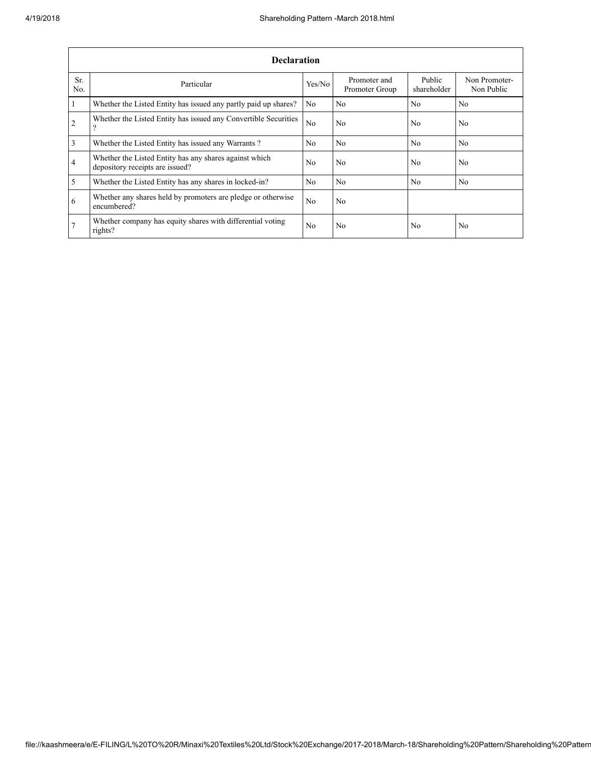|                | <b>Declaration</b>                                                                        |                |                                |                       |                             |  |  |  |  |  |  |
|----------------|-------------------------------------------------------------------------------------------|----------------|--------------------------------|-----------------------|-----------------------------|--|--|--|--|--|--|
| Sr.<br>No.     | Particular                                                                                | Yes/No         | Promoter and<br>Promoter Group | Public<br>shareholder | Non Promoter-<br>Non Public |  |  |  |  |  |  |
| $\mathbf{1}$   | Whether the Listed Entity has issued any partly paid up shares?                           | No             | N <sub>0</sub>                 | No.                   | N <sub>0</sub>              |  |  |  |  |  |  |
| $\overline{2}$ | Whether the Listed Entity has issued any Convertible Securities<br>9                      | N <sub>0</sub> | N <sub>0</sub>                 | No                    | N <sub>0</sub>              |  |  |  |  |  |  |
| $\overline{3}$ | Whether the Listed Entity has issued any Warrants?                                        | No.            | N <sub>0</sub>                 | N <sub>0</sub>        | N <sub>0</sub>              |  |  |  |  |  |  |
| $\overline{4}$ | Whether the Listed Entity has any shares against which<br>depository receipts are issued? |                | N <sub>0</sub>                 | No.                   | N <sub>0</sub>              |  |  |  |  |  |  |
| $\overline{5}$ | Whether the Listed Entity has any shares in locked-in?                                    | No.            | N <sub>0</sub>                 | N <sub>0</sub>        | N <sub>0</sub>              |  |  |  |  |  |  |
| 6              | Whether any shares held by promoters are pledge or otherwise<br>encumbered?               | No.            | N <sub>0</sub>                 |                       |                             |  |  |  |  |  |  |
| 7              | Whether company has equity shares with differential voting<br>rights?                     | No             | N <sub>0</sub>                 | No                    | N <sub>0</sub>              |  |  |  |  |  |  |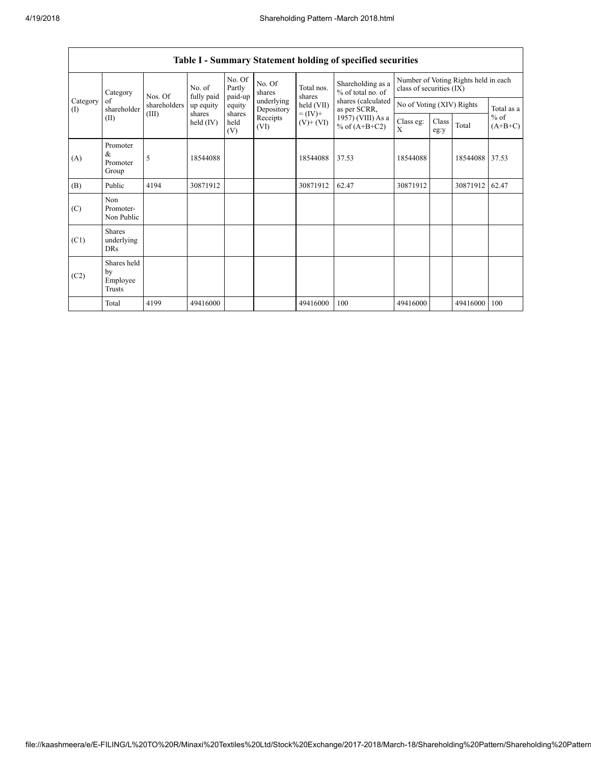|                 | Category                                  | Nos. Of      | No. of<br>fully paid  | No. Of<br>Partly<br>paid-up | No. Of<br>shares         | Total nos.<br>shares         | Shareholding as a<br>% of total no. of | class of securities (IX) |                           | Number of Voting Rights held in each |                     |
|-----------------|-------------------------------------------|--------------|-----------------------|-----------------------------|--------------------------|------------------------------|----------------------------------------|--------------------------|---------------------------|--------------------------------------|---------------------|
| Category<br>(I) | of<br>shareholder                         | shareholders | up equity             | equity                      | underlying<br>Depository | held (VII)                   | shares (calculated<br>as per SCRR,     |                          | No of Voting (XIV) Rights |                                      | Total as a          |
|                 | (II)                                      | (III)        | shares<br>held $(IV)$ | shares<br>held<br>(V)       | Receipts<br>(VI)         | $= (IV) +$<br>$(V)$ + $(VI)$ | $1957)$ (VIII) As a<br>% of $(A+B+C2)$ | Class eg:<br>X           | Class<br>eg:y             | Total                                | $%$ of<br>$(A+B+C)$ |
| (A)             | Promoter<br>&<br>Promoter<br>Group        | 5            | 18544088              |                             |                          | 18544088                     | 37.53                                  | 18544088                 |                           | 18544088 37.53                       |                     |
| (B)             | Public                                    | 4194         | 30871912              |                             |                          | 30871912                     | 62.47                                  | 30871912                 |                           | 30871912                             | 62.47               |
| (C)             | Non<br>Promoter-<br>Non Public            |              |                       |                             |                          |                              |                                        |                          |                           |                                      |                     |
| (C1)            | <b>Shares</b><br>underlying<br><b>DRs</b> |              |                       |                             |                          |                              |                                        |                          |                           |                                      |                     |
| (C2)            | Shares held<br>by<br>Employee<br>Trusts   |              |                       |                             |                          |                              |                                        |                          |                           |                                      |                     |
|                 | Total                                     | 4199         | 49416000              |                             |                          | 49416000                     | 100                                    | 49416000                 |                           | 49416000                             | 100                 |

## Table I - Summary Statement holding of specified securities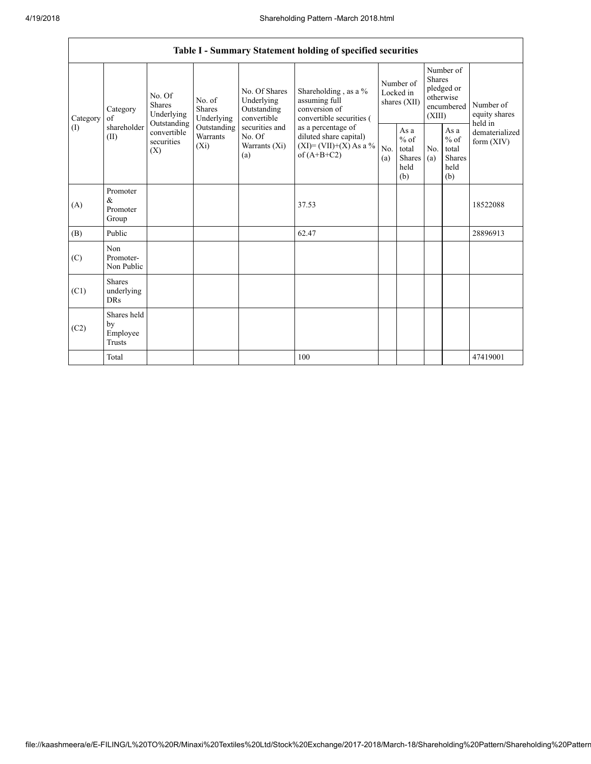٦

|                 | Table I - Summary Statement holding of specified securities |                                                                                                                                                           |                                                  |                                                                                            |                                                                                    |                                                  |            |                                                                               |                                |                                       |
|-----------------|-------------------------------------------------------------|-----------------------------------------------------------------------------------------------------------------------------------------------------------|--------------------------------------------------|--------------------------------------------------------------------------------------------|------------------------------------------------------------------------------------|--------------------------------------------------|------------|-------------------------------------------------------------------------------|--------------------------------|---------------------------------------|
| Category<br>(1) | Category<br>of<br>shareholder<br>(II)                       | No. Of<br>No. of<br>Shares<br>Shares<br>Underlying<br>Underlying<br>Outstanding<br>Outstanding<br>convertible<br>Warrants<br>securities<br>$(X_i)$<br>(X) |                                                  | No. Of Shares<br>Underlying<br>Outstanding<br>convertible                                  | Shareholding, as a %<br>assuming full<br>conversion of<br>convertible securities ( | Number of<br>Locked in<br>shares (XII)           |            | Number of<br><b>Shares</b><br>pledged or<br>otherwise<br>encumbered<br>(XIII) |                                | Number of<br>equity shares<br>held in |
|                 |                                                             |                                                                                                                                                           | securities and<br>No. Of<br>Warrants (Xi)<br>(a) | as a percentage of<br>diluted share capital)<br>$(XI) = (VII)+(X) As a %$<br>of $(A+B+C2)$ | No.<br>(a)                                                                         | As a<br>$%$ of<br>total<br>Shares<br>held<br>(b) | No.<br>(a) | As a<br>$%$ of<br>total<br><b>Shares</b><br>held<br>(b)                       | dematerialized<br>form $(XIV)$ |                                       |
| (A)             | Promoter<br>&<br>Promoter<br>Group                          |                                                                                                                                                           |                                                  |                                                                                            | 37.53                                                                              |                                                  |            |                                                                               |                                | 18522088                              |
| (B)             | Public                                                      |                                                                                                                                                           |                                                  |                                                                                            | 62.47                                                                              |                                                  |            |                                                                               |                                | 28896913                              |
| (C)             | Non<br>Promoter-<br>Non Public                              |                                                                                                                                                           |                                                  |                                                                                            |                                                                                    |                                                  |            |                                                                               |                                |                                       |
| (C1)            | <b>Shares</b><br>underlying<br><b>DRs</b>                   |                                                                                                                                                           |                                                  |                                                                                            |                                                                                    |                                                  |            |                                                                               |                                |                                       |
| (C2)            | Shares held<br>by<br>Employee<br>Trusts                     |                                                                                                                                                           |                                                  |                                                                                            |                                                                                    |                                                  |            |                                                                               |                                |                                       |
|                 | Total                                                       |                                                                                                                                                           |                                                  |                                                                                            | 100                                                                                |                                                  |            |                                                                               |                                | 47419001                              |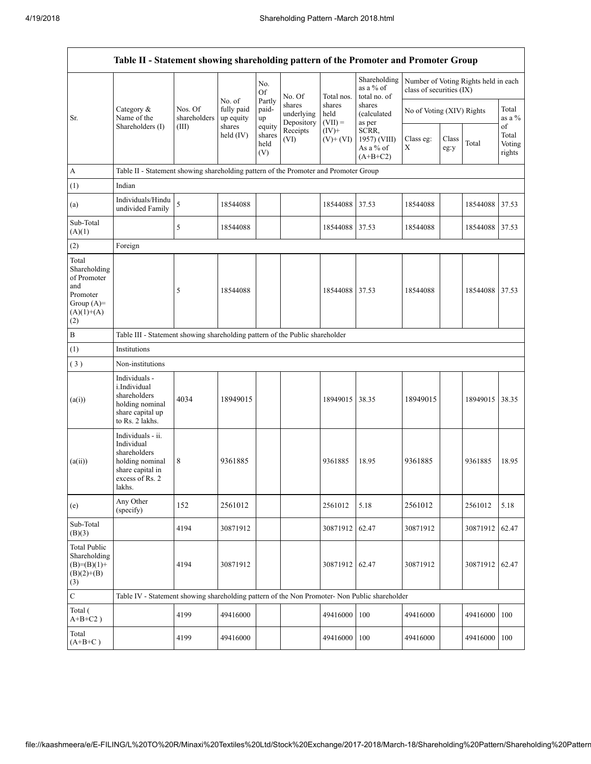|                                                                                                | Table II - Statement showing shareholding pattern of the Promoter and Promoter Group                                |                                                                              |                                   |                                 |                                    |                             |                                                                                             |                                                                  |               |                |                           |  |
|------------------------------------------------------------------------------------------------|---------------------------------------------------------------------------------------------------------------------|------------------------------------------------------------------------------|-----------------------------------|---------------------------------|------------------------------------|-----------------------------|---------------------------------------------------------------------------------------------|------------------------------------------------------------------|---------------|----------------|---------------------------|--|
|                                                                                                |                                                                                                                     |                                                                              |                                   | No.<br>Of                       | No. Of                             | Total nos.                  | Shareholding<br>as a % of<br>total no. of                                                   | Number of Voting Rights held in each<br>class of securities (IX) |               |                |                           |  |
| Sr.                                                                                            | Category &<br>Name of the                                                                                           | Nos. Of<br>shareholders<br>(III)                                             | No. of<br>fully paid<br>up equity | Partly<br>paid-<br>up           | shares<br>underlying<br>Depository | shares<br>held<br>$(VII) =$ | shares<br><i>(calculated)</i><br>as per<br>SCRR,<br>1957) (VIII)<br>As a % of<br>$(A+B+C2)$ | No of Voting (XIV) Rights                                        |               |                | Total<br>as a %<br>of     |  |
|                                                                                                | Shareholders (I)                                                                                                    |                                                                              | shares<br>held $(IV)$             | equity<br>shares<br>held<br>(V) | Receipts<br>(VI)                   | $(IV)+$<br>$(V)$ + $(VI)$   |                                                                                             | Class eg:<br>X                                                   | Class<br>eg:y | Total          | Total<br>Voting<br>rights |  |
| $\boldsymbol{A}$                                                                               | Table II - Statement showing shareholding pattern of the Promoter and Promoter Group                                |                                                                              |                                   |                                 |                                    |                             |                                                                                             |                                                                  |               |                |                           |  |
| (1)                                                                                            | Indian                                                                                                              |                                                                              |                                   |                                 |                                    |                             |                                                                                             |                                                                  |               |                |                           |  |
| (a)                                                                                            | Individuals/Hindu<br>undivided Family                                                                               | 5                                                                            | 18544088                          |                                 |                                    | 18544088                    | 37.53                                                                                       | 18544088                                                         |               | 18544088       | 37.53                     |  |
| Sub-Total<br>(A)(1)                                                                            |                                                                                                                     | 5                                                                            | 18544088                          |                                 |                                    | 18544088 37.53              |                                                                                             | 18544088                                                         |               | 18544088 37.53 |                           |  |
| (2)                                                                                            | Foreign                                                                                                             |                                                                              |                                   |                                 |                                    |                             |                                                                                             |                                                                  |               |                |                           |  |
| Total<br>Shareholding<br>of Promoter<br>and<br>Promoter<br>Group $(A)=$<br>$(A)(1)+(A)$<br>(2) |                                                                                                                     | 5                                                                            | 18544088                          |                                 |                                    | 18544088 37.53              |                                                                                             | 18544088                                                         |               | 18544088       | 37.53                     |  |
| $\, {\bf B}$                                                                                   |                                                                                                                     | Table III - Statement showing shareholding pattern of the Public shareholder |                                   |                                 |                                    |                             |                                                                                             |                                                                  |               |                |                           |  |
| (1)                                                                                            | Institutions                                                                                                        |                                                                              |                                   |                                 |                                    |                             |                                                                                             |                                                                  |               |                |                           |  |
| (3)                                                                                            | Non-institutions                                                                                                    |                                                                              |                                   |                                 |                                    |                             |                                                                                             |                                                                  |               |                |                           |  |
| (a(i))                                                                                         | Individuals -<br><i>i.Individual</i><br>shareholders<br>holding nominal<br>share capital up<br>to Rs. 2 lakhs.      | 4034                                                                         | 18949015                          |                                 |                                    | 18949015                    | 38.35                                                                                       | 18949015                                                         |               | 18949015       | 38.35                     |  |
| (a(ii))                                                                                        | Individuals - ii.<br>Individual<br>shareholders<br>holding nominal<br>share capital in<br>excess of Rs. 2<br>lakhs. | 8                                                                            | 9361885                           |                                 |                                    | 9361885                     | 18.95                                                                                       | 9361885                                                          |               | 9361885        | 18.95                     |  |
| (e)                                                                                            | Any Other<br>(specify)                                                                                              | 152                                                                          | 2561012                           |                                 |                                    | 2561012                     | 5.18                                                                                        | 2561012                                                          |               | 2561012        | 5.18                      |  |
| Sub-Total<br>(B)(3)                                                                            |                                                                                                                     | 4194                                                                         | 30871912                          |                                 |                                    | 30871912                    | 62.47                                                                                       | 30871912                                                         |               | 30871912       | 62.47                     |  |
| <b>Total Public</b><br>Shareholding<br>$(B)= (B)(1) +$<br>$(B)(2)+(B)$<br>(3)                  |                                                                                                                     | 4194                                                                         | 30871912                          |                                 |                                    | 30871912 62.47              |                                                                                             | 30871912                                                         |               | 30871912 62.47 |                           |  |
| $\mathbf C$                                                                                    | Table IV - Statement showing shareholding pattern of the Non Promoter- Non Public shareholder                       |                                                                              |                                   |                                 |                                    |                             |                                                                                             |                                                                  |               |                |                           |  |
| Total (<br>$A+B+C2$ )                                                                          |                                                                                                                     | 4199                                                                         | 49416000                          |                                 |                                    | 49416000                    | 100                                                                                         | 49416000                                                         |               | 49416000       | 100                       |  |
| Total<br>$(A+B+C)$                                                                             |                                                                                                                     | 4199                                                                         | 49416000                          |                                 |                                    | 49416000                    | 100                                                                                         | 49416000                                                         |               | 49416000       | 100                       |  |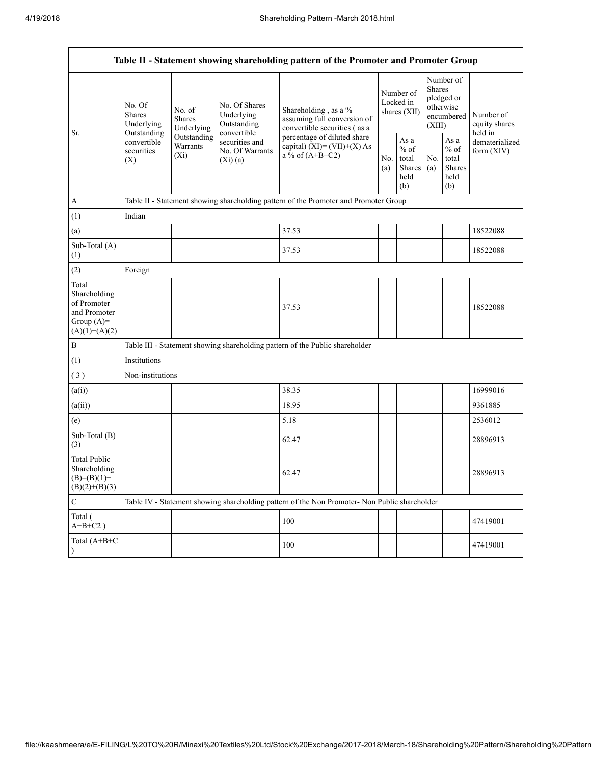Г

| Table II - Statement showing shareholding pattern of the Promoter and Promoter Group    |                                                                                       |                                       |                                                           |                                                                                               |  |                                                  |            |                                                                        |                                       |  |  |
|-----------------------------------------------------------------------------------------|---------------------------------------------------------------------------------------|---------------------------------------|-----------------------------------------------------------|-----------------------------------------------------------------------------------------------|--|--------------------------------------------------|------------|------------------------------------------------------------------------|---------------------------------------|--|--|
| Sr.                                                                                     | No. Of<br><b>Shares</b><br>Underlying                                                 | No. of<br><b>Shares</b><br>Underlying | No. Of Shares<br>Underlying<br>Outstanding<br>convertible | Shareholding, as a %<br>assuming full conversion of<br>convertible securities (as a           |  | Number of<br>Locked in<br>shares (XII)           |            | Number of<br>Shares<br>pledged or<br>otherwise<br>encumbered<br>(XIII) | Number of<br>equity shares<br>held in |  |  |
|                                                                                         | Outstanding<br>Outstanding<br>convertible<br>Warrants<br>securities<br>$(X_i)$<br>(X) |                                       | securities and<br>No. Of Warrants<br>(Xi)(a)              | percentage of diluted share<br>capital) (XI)= (VII)+(X) As<br>a % of $(A+B+C2)$               |  | As a<br>$%$ of<br>total<br>Shares<br>held<br>(b) | No.<br>(a) | As a<br>$\%$ of<br>total<br><b>Shares</b><br>held<br>(b)               | dematerialized<br>form $(XIV)$        |  |  |
| A                                                                                       |                                                                                       |                                       |                                                           | Table II - Statement showing shareholding pattern of the Promoter and Promoter Group          |  |                                                  |            |                                                                        |                                       |  |  |
| (1)                                                                                     | Indian                                                                                |                                       |                                                           |                                                                                               |  |                                                  |            |                                                                        |                                       |  |  |
| (a)                                                                                     |                                                                                       |                                       |                                                           | 37.53                                                                                         |  |                                                  |            |                                                                        | 18522088                              |  |  |
| Sub-Total (A)<br>(1)                                                                    |                                                                                       |                                       |                                                           | 37.53                                                                                         |  |                                                  |            |                                                                        | 18522088                              |  |  |
| (2)                                                                                     | Foreign                                                                               |                                       |                                                           |                                                                                               |  |                                                  |            |                                                                        |                                       |  |  |
| Total<br>Shareholding<br>of Promoter<br>and Promoter<br>Group $(A)=$<br>$(A)(1)+(A)(2)$ |                                                                                       |                                       |                                                           | 37.53                                                                                         |  |                                                  |            |                                                                        | 18522088                              |  |  |
| $\, {\bf B}$                                                                            |                                                                                       |                                       |                                                           | Table III - Statement showing shareholding pattern of the Public shareholder                  |  |                                                  |            |                                                                        |                                       |  |  |
| (1)                                                                                     | Institutions                                                                          |                                       |                                                           |                                                                                               |  |                                                  |            |                                                                        |                                       |  |  |
| (3)                                                                                     | Non-institutions                                                                      |                                       |                                                           |                                                                                               |  |                                                  |            |                                                                        |                                       |  |  |
| (a(i))                                                                                  |                                                                                       |                                       |                                                           | 38.35                                                                                         |  |                                                  |            |                                                                        | 16999016                              |  |  |
| (a(ii))                                                                                 |                                                                                       |                                       |                                                           | 18.95                                                                                         |  |                                                  |            |                                                                        | 9361885                               |  |  |
| (e)                                                                                     |                                                                                       |                                       |                                                           | 5.18                                                                                          |  |                                                  |            |                                                                        | 2536012                               |  |  |
| Sub-Total (B)<br>(3)                                                                    |                                                                                       |                                       |                                                           | 62.47                                                                                         |  |                                                  |            |                                                                        | 28896913                              |  |  |
| <b>Total Public</b><br>Shareholding<br>$(B)= (B)(1) +$<br>$(B)(2)+(B)(3)$               |                                                                                       |                                       |                                                           | 62.47                                                                                         |  |                                                  |            |                                                                        | 28896913                              |  |  |
| $\mathbf C$                                                                             |                                                                                       |                                       |                                                           | Table IV - Statement showing shareholding pattern of the Non Promoter- Non Public shareholder |  |                                                  |            |                                                                        |                                       |  |  |
| Total (<br>$A+B+C2$ )                                                                   |                                                                                       |                                       |                                                           | 100                                                                                           |  |                                                  |            |                                                                        | 47419001                              |  |  |
| Total (A+B+C                                                                            |                                                                                       |                                       |                                                           | 100                                                                                           |  |                                                  |            |                                                                        | 47419001                              |  |  |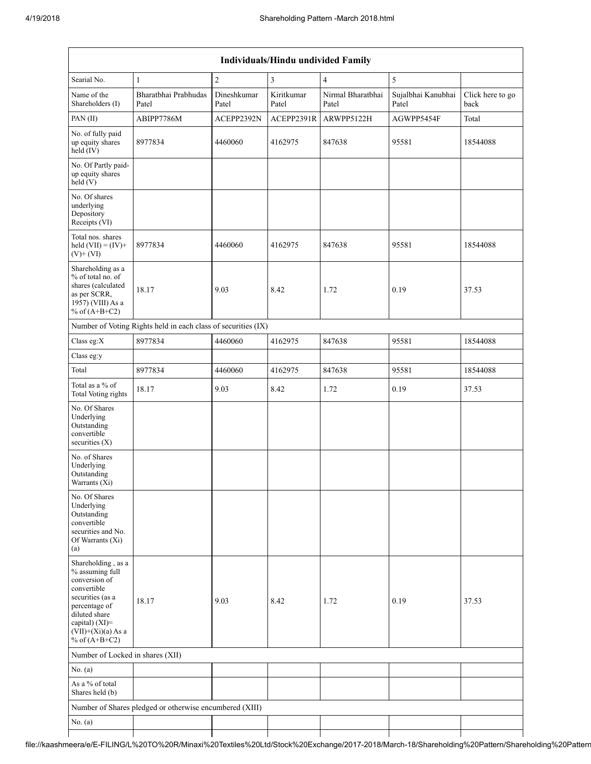|                                                                                                                                                                                             | <b>Individuals/Hindu undivided Family</b>                     |                      |                     |                            |                             |                          |  |  |  |  |  |
|---------------------------------------------------------------------------------------------------------------------------------------------------------------------------------------------|---------------------------------------------------------------|----------------------|---------------------|----------------------------|-----------------------------|--------------------------|--|--|--|--|--|
| Searial No.                                                                                                                                                                                 | $\,1\,$                                                       | $\overline{2}$       | 3                   | $\overline{\mathbf{4}}$    | 5                           |                          |  |  |  |  |  |
| Name of the<br>Shareholders (I)                                                                                                                                                             | Bharatbhai Prabhudas<br>Patel                                 | Dineshkumar<br>Patel | Kiritkumar<br>Patel | Nirmal Bharatbhai<br>Patel | Sujalbhai Kanubhai<br>Patel | Click here to go<br>back |  |  |  |  |  |
| PAN $(II)$                                                                                                                                                                                  | ABIPP7786M                                                    | ACEPP2392N           | ACEPP2391R          | ARWPP5122H                 | AGWPP5454F                  | Total                    |  |  |  |  |  |
| No. of fully paid<br>up equity shares<br>held (IV)                                                                                                                                          | 8977834                                                       | 4460060              | 4162975             | 847638                     | 95581                       | 18544088                 |  |  |  |  |  |
| No. Of Partly paid-<br>up equity shares<br>held(V)                                                                                                                                          |                                                               |                      |                     |                            |                             |                          |  |  |  |  |  |
| No. Of shares<br>underlying<br>Depository<br>Receipts (VI)                                                                                                                                  |                                                               |                      |                     |                            |                             |                          |  |  |  |  |  |
| Total nos. shares<br>held $(VII) = (IV) +$<br>$(V)$ + $(VI)$                                                                                                                                | 8977834                                                       | 4460060              | 4162975             | 847638                     | 95581                       | 18544088                 |  |  |  |  |  |
| Shareholding as a<br>% of total no. of<br>shares (calculated<br>as per SCRR,<br>1957) (VIII) As a<br>% of $(A+B+C2)$                                                                        | 18.17                                                         | 9.03                 | 8.42                | 1.72                       | 0.19                        | 37.53                    |  |  |  |  |  |
|                                                                                                                                                                                             | Number of Voting Rights held in each class of securities (IX) |                      |                     |                            |                             |                          |  |  |  |  |  |
| Class eg:X                                                                                                                                                                                  | 8977834                                                       | 4460060              | 4162975             | 847638                     | 95581                       | 18544088                 |  |  |  |  |  |
| Class eg:y                                                                                                                                                                                  |                                                               |                      |                     |                            |                             |                          |  |  |  |  |  |
| Total                                                                                                                                                                                       | 8977834                                                       | 4460060              | 4162975             | 847638                     | 95581                       | 18544088                 |  |  |  |  |  |
| Total as a % of<br>Total Voting rights                                                                                                                                                      | 18.17                                                         | 9.03                 | 8.42                | 1.72                       | 0.19                        | 37.53                    |  |  |  |  |  |
| No. Of Shares<br>Underlying<br>Outstanding<br>convertible<br>securities $(X)$                                                                                                               |                                                               |                      |                     |                            |                             |                          |  |  |  |  |  |
| No. of Shares<br>Underlying<br>Outstanding<br>Warrants $(X_1)$                                                                                                                              |                                                               |                      |                     |                            |                             |                          |  |  |  |  |  |
| No. Of Shares<br>Underlying<br>Outstanding<br>convertible<br>securities and No.<br>Of Warrants (Xi)<br>(a)                                                                                  |                                                               |                      |                     |                            |                             |                          |  |  |  |  |  |
| Shareholding, as a<br>% assuming full<br>conversion of<br>convertible<br>securities (as a<br>percentage of<br>diluted share<br>capital) $(XI)$ =<br>$(VII)+(Xi)(a)$ As a<br>% of $(A+B+C2)$ | 18.17                                                         | 9.03                 | 8.42                | 1.72                       | 0.19                        | 37.53                    |  |  |  |  |  |
| Number of Locked in shares (XII)                                                                                                                                                            |                                                               |                      |                     |                            |                             |                          |  |  |  |  |  |
| No. (a)                                                                                                                                                                                     |                                                               |                      |                     |                            |                             |                          |  |  |  |  |  |
| As a % of total<br>Shares held (b)                                                                                                                                                          |                                                               |                      |                     |                            |                             |                          |  |  |  |  |  |
|                                                                                                                                                                                             | Number of Shares pledged or otherwise encumbered (XIII)       |                      |                     |                            |                             |                          |  |  |  |  |  |
| No. (a)                                                                                                                                                                                     |                                                               |                      |                     |                            |                             |                          |  |  |  |  |  |
|                                                                                                                                                                                             |                                                               |                      |                     |                            |                             |                          |  |  |  |  |  |

file://kaashmeera/e/E-FILING/L%20TO%20R/Minaxi%20Textiles%20Ltd/Stock%20Exchange/2017-2018/March-18/Shareholding%20Pattern/Shareholding%20Pattern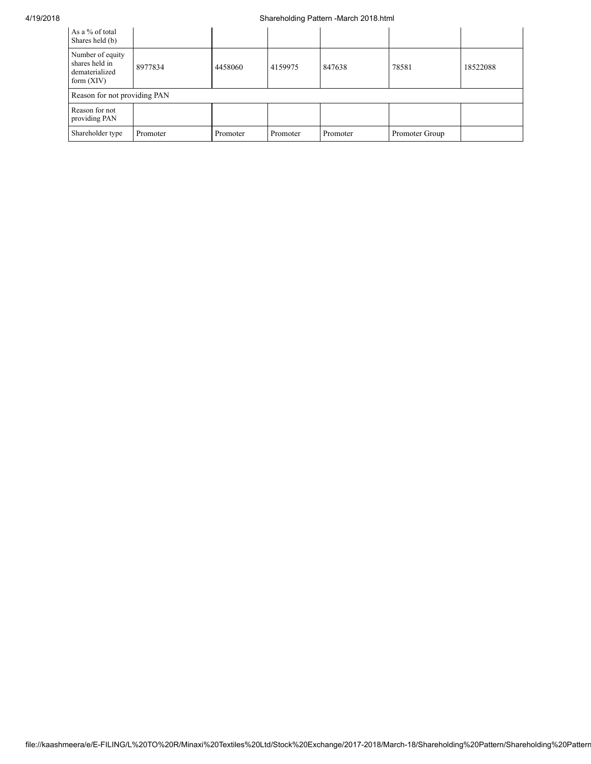## 4/19/2018 Shareholding Pattern -March 2018.html

| As a % of total<br>Shares held (b)                                   |          |          |          |          |                |          |
|----------------------------------------------------------------------|----------|----------|----------|----------|----------------|----------|
| Number of equity<br>shares held in<br>dematerialized<br>form $(XIV)$ | 8977834  | 4458060  | 4159975  | 847638   | 78581          | 18522088 |
| Reason for not providing PAN                                         |          |          |          |          |                |          |
| Reason for not<br>providing PAN                                      |          |          |          |          |                |          |
| Shareholder type                                                     | Promoter | Promoter | Promoter | Promoter | Promoter Group |          |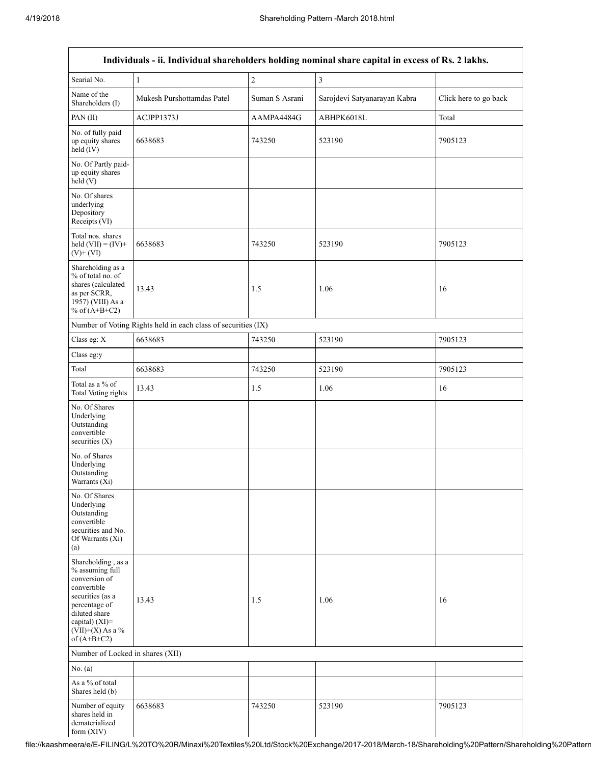|                                                                                                                                                                                      |                                                               |                | Individuals - ii. Individual shareholders holding nominal share capital in excess of Rs. 2 lakhs. |                       |
|--------------------------------------------------------------------------------------------------------------------------------------------------------------------------------------|---------------------------------------------------------------|----------------|---------------------------------------------------------------------------------------------------|-----------------------|
| Searial No.                                                                                                                                                                          | $\mathbf{1}$                                                  | $\overline{c}$ | $\mathfrak{Z}$                                                                                    |                       |
| Name of the<br>Shareholders (I)                                                                                                                                                      | Mukesh Purshottamdas Patel                                    | Suman S Asrani | Sarojdevi Satyanarayan Kabra                                                                      | Click here to go back |
| PAN(II)                                                                                                                                                                              | ACJPP1373J                                                    | AAMPA4484G     | ABHPK6018L                                                                                        | Total                 |
| No. of fully paid<br>up equity shares<br>$held$ (IV)                                                                                                                                 | 6638683                                                       | 743250         | 523190                                                                                            | 7905123               |
| No. Of Partly paid-<br>up equity shares<br>held(V)                                                                                                                                   |                                                               |                |                                                                                                   |                       |
| No. Of shares<br>underlying<br>Depository<br>Receipts (VI)                                                                                                                           |                                                               |                |                                                                                                   |                       |
| Total nos. shares<br>held $(VII) = (IV) +$<br>$(V)+(VI)$                                                                                                                             | 6638683                                                       | 743250         | 523190                                                                                            | 7905123               |
| Shareholding as a<br>% of total no. of<br>shares (calculated<br>as per SCRR,<br>1957) (VIII) As a<br>% of $(A+B+C2)$                                                                 | 13.43                                                         | 1.5            | 1.06                                                                                              | 16                    |
|                                                                                                                                                                                      | Number of Voting Rights held in each class of securities (IX) |                |                                                                                                   |                       |
| Class eg: X                                                                                                                                                                          | 6638683                                                       | 743250         | 523190                                                                                            | 7905123               |
| Class eg:y                                                                                                                                                                           |                                                               |                |                                                                                                   |                       |
| Total                                                                                                                                                                                | 6638683                                                       | 743250         | 523190                                                                                            | 7905123               |
| Total as a $\%$ of<br>Total Voting rights                                                                                                                                            | 13.43                                                         | 1.5            | 1.06                                                                                              | 16                    |
| No. Of Shares<br>Underlying<br>Outstanding<br>convertible<br>securities $(X)$                                                                                                        |                                                               |                |                                                                                                   |                       |
| No. of Shares<br>Underlying<br>Outstanding<br>Warrants (Xi)                                                                                                                          |                                                               |                |                                                                                                   |                       |
| No. Of Shares<br>Underlying<br>Outstanding<br>convertible<br>securities and No.<br>Of Warrants (Xi)<br>(a)                                                                           |                                                               |                |                                                                                                   |                       |
| Shareholding, as a<br>% assuming full<br>conversion of<br>convertible<br>securities (as a<br>percentage of<br>diluted share<br>capital) (XI)=<br>$(VII)+(X)$ As a %<br>of $(A+B+C2)$ | 13.43                                                         | 1.5            | 1.06                                                                                              | 16                    |
| Number of Locked in shares (XII)                                                                                                                                                     |                                                               |                |                                                                                                   |                       |
| No. (a)                                                                                                                                                                              |                                                               |                |                                                                                                   |                       |
| As a % of total<br>Shares held (b)                                                                                                                                                   |                                                               |                |                                                                                                   |                       |
| Number of equity<br>shares held in<br>dematerialized<br>form (XIV)                                                                                                                   | 6638683                                                       | 743250         | 523190                                                                                            | 7905123               |

file://kaashmeera/e/E-FILING/L%20TO%20R/Minaxi%20Textiles%20Ltd/Stock%20Exchange/2017-2018/March-18/Shareholding%20Pattern/Shareholding%20Pattern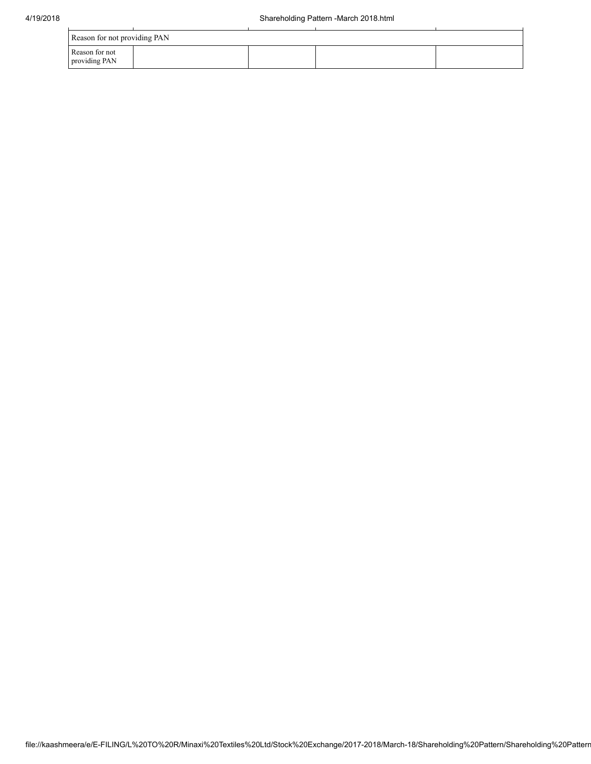| Reason for not providing PAN    |  |  |  |  |  |  |  |  |  |
|---------------------------------|--|--|--|--|--|--|--|--|--|
| Reason for not<br>providing PAN |  |  |  |  |  |  |  |  |  |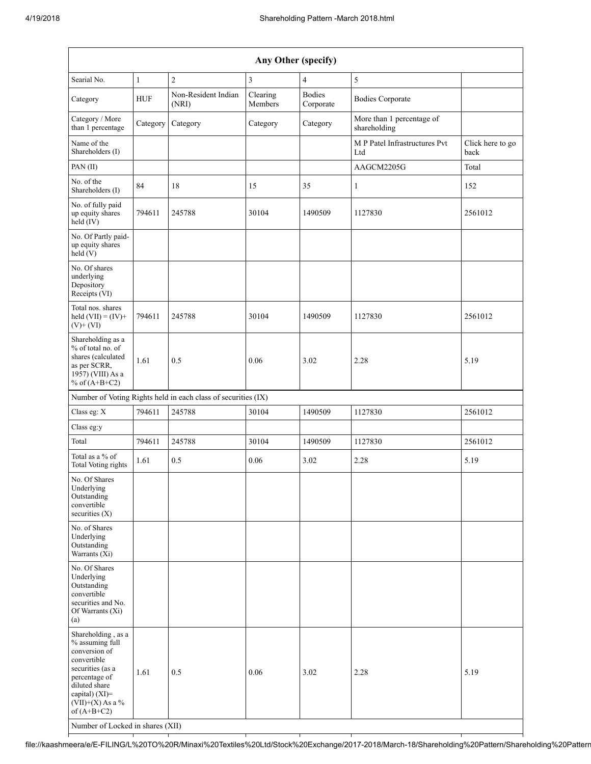| Any Other (specify)                                                                                                                                                                                                      |              |                                                               |                     |                            |                                           |                          |  |  |  |  |
|--------------------------------------------------------------------------------------------------------------------------------------------------------------------------------------------------------------------------|--------------|---------------------------------------------------------------|---------------------|----------------------------|-------------------------------------------|--------------------------|--|--|--|--|
| Searial No.                                                                                                                                                                                                              | $\mathbf{1}$ | $\overline{2}$                                                | 3                   | $\overline{4}$             | $\sqrt{5}$                                |                          |  |  |  |  |
| Category                                                                                                                                                                                                                 | <b>HUF</b>   | Non-Resident Indian<br>(NRI)                                  | Clearing<br>Members | <b>Bodies</b><br>Corporate | <b>Bodies Corporate</b>                   |                          |  |  |  |  |
| Category / More<br>than 1 percentage                                                                                                                                                                                     | Category     | Category                                                      | Category            | Category                   | More than 1 percentage of<br>shareholding |                          |  |  |  |  |
| Name of the<br>Shareholders (I)                                                                                                                                                                                          |              |                                                               |                     |                            | M P Patel Infrastructures Pvt<br>Ltd      | Click here to go<br>back |  |  |  |  |
| PAN (II)                                                                                                                                                                                                                 |              |                                                               |                     |                            | AAGCM2205G                                | Total                    |  |  |  |  |
| No. of the<br>Shareholders (I)                                                                                                                                                                                           | 84           | 18                                                            | 15                  | 35                         | $\mathbf{1}$                              | 152                      |  |  |  |  |
| No. of fully paid<br>up equity shares<br>held (IV)                                                                                                                                                                       | 794611       | 245788                                                        | 30104               | 1490509                    | 1127830                                   | 2561012                  |  |  |  |  |
| No. Of Partly paid-<br>up equity shares<br>held (V)                                                                                                                                                                      |              |                                                               |                     |                            |                                           |                          |  |  |  |  |
| No. Of shares<br>underlying<br>Depository<br>Receipts (VI)                                                                                                                                                               |              |                                                               |                     |                            |                                           |                          |  |  |  |  |
| Total nos. shares<br>held $(VII) = (IV) +$<br>$(V)$ + $(VI)$                                                                                                                                                             | 794611       | 245788                                                        | 30104               | 1490509                    | 1127830                                   | 2561012                  |  |  |  |  |
| Shareholding as a<br>% of total no. of<br>shares (calculated<br>as per SCRR,<br>1957) (VIII) As a<br>% of $(A+B+C2)$                                                                                                     | 1.61         | 0.5                                                           | 0.06                | 3.02                       | 2.28                                      | 5.19                     |  |  |  |  |
|                                                                                                                                                                                                                          |              | Number of Voting Rights held in each class of securities (IX) |                     |                            |                                           |                          |  |  |  |  |
| Class eg: X                                                                                                                                                                                                              | 794611       | 245788                                                        | 30104               | 1490509                    | 1127830                                   | 2561012                  |  |  |  |  |
| Class eg:y                                                                                                                                                                                                               |              |                                                               |                     |                            |                                           |                          |  |  |  |  |
| Total                                                                                                                                                                                                                    | 794611       | 245788                                                        | 30104               | 1490509                    | 1127830                                   | 2561012                  |  |  |  |  |
| Total as a % of<br>Total Voting rights                                                                                                                                                                                   | 1.61         | 0.5                                                           | 0.06                | 3.02                       | 2.28                                      | 5.19                     |  |  |  |  |
| No. Of Shares<br>Underlying<br>Outstanding<br>convertible<br>securities $(X)$                                                                                                                                            |              |                                                               |                     |                            |                                           |                          |  |  |  |  |
| No. of Shares<br>Underlying<br>Outstanding<br>Warrants (Xi)                                                                                                                                                              |              |                                                               |                     |                            |                                           |                          |  |  |  |  |
| No. Of Shares<br>Underlying<br>Outstanding<br>convertible<br>securities and No.<br>Of Warrants (Xi)<br>(a)                                                                                                               |              |                                                               |                     |                            |                                           |                          |  |  |  |  |
| Shareholding, as a<br>% assuming full<br>conversion of<br>convertible<br>securities (as a<br>percentage of<br>diluted share<br>capital) (XI)=<br>$(VII)+(X)$ As a %<br>of $(A+B+C2)$<br>Number of Locked in shares (XII) | 1.61         | 0.5                                                           | 0.06                | 3.02                       | 2.28                                      | 5.19                     |  |  |  |  |

file://kaashmeera/e/E-FILING/L%20TO%20R/Minaxi%20Textiles%20Ltd/Stock%20Exchange/2017-2018/March-18/Shareholding%20Pattern/Shareholding%20Pattern